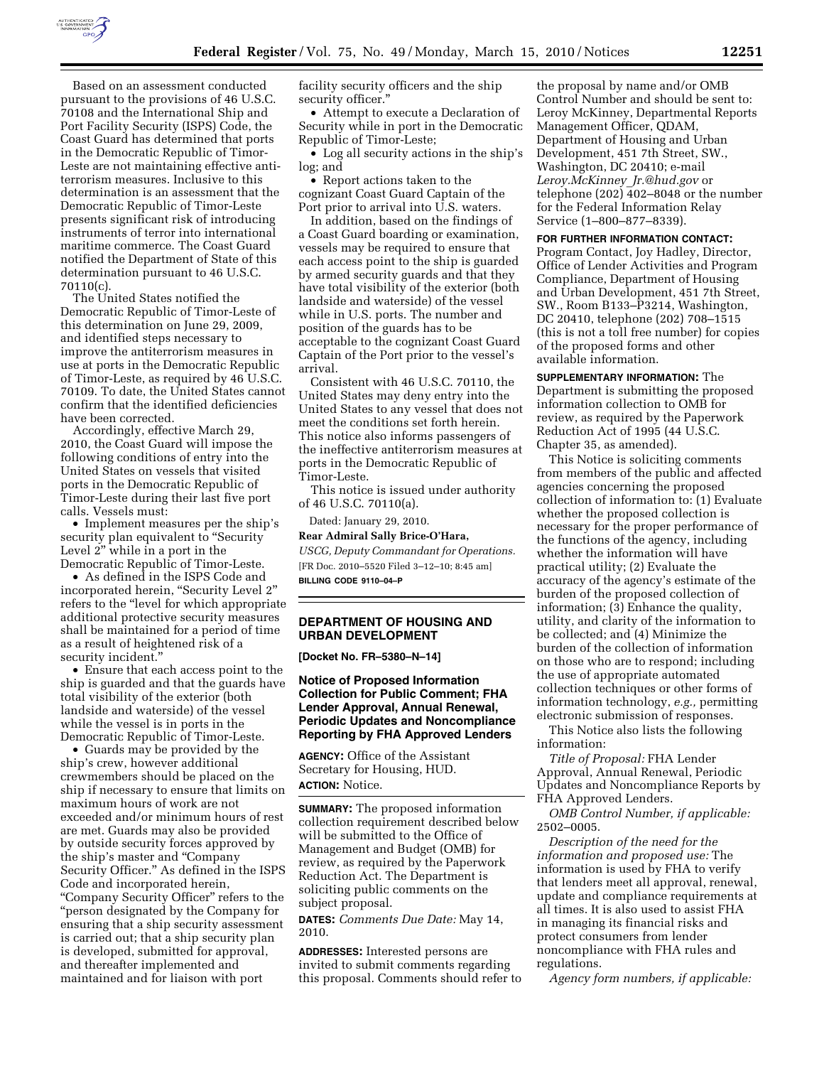

Based on an assessment conducted pursuant to the provisions of 46 U.S.C. 70108 and the International Ship and Port Facility Security (ISPS) Code, the Coast Guard has determined that ports in the Democratic Republic of Timor-Leste are not maintaining effective antiterrorism measures. Inclusive to this determination is an assessment that the Democratic Republic of Timor-Leste presents significant risk of introducing instruments of terror into international maritime commerce. The Coast Guard notified the Department of State of this determination pursuant to 46 U.S.C. 70110(c).

The United States notified the Democratic Republic of Timor-Leste of this determination on June 29, 2009, and identified steps necessary to improve the antiterrorism measures in use at ports in the Democratic Republic of Timor-Leste, as required by 46 U.S.C. 70109. To date, the United States cannot confirm that the identified deficiencies have been corrected.

Accordingly, effective March 29, 2010, the Coast Guard will impose the following conditions of entry into the United States on vessels that visited ports in the Democratic Republic of Timor-Leste during their last five port calls. Vessels must:

• Implement measures per the ship's security plan equivalent to "Security Level 2" while in a port in the Democratic Republic of Timor-Leste.

• As defined in the ISPS Code and incorporated herein, "Security Level 2" refers to the ''level for which appropriate additional protective security measures shall be maintained for a period of time as a result of heightened risk of a security incident.''

• Ensure that each access point to the ship is guarded and that the guards have total visibility of the exterior (both landside and waterside) of the vessel while the vessel is in ports in the Democratic Republic of Timor-Leste.

• Guards may be provided by the ship's crew, however additional crewmembers should be placed on the ship if necessary to ensure that limits on maximum hours of work are not exceeded and/or minimum hours of rest are met. Guards may also be provided by outside security forces approved by the ship's master and ''Company Security Officer.'' As defined in the ISPS Code and incorporated herein, ''Company Security Officer'' refers to the ''person designated by the Company for ensuring that a ship security assessment is carried out; that a ship security plan is developed, submitted for approval, and thereafter implemented and maintained and for liaison with port

facility security officers and the ship security officer.''

• Attempt to execute a Declaration of Security while in port in the Democratic Republic of Timor-Leste;

• Log all security actions in the ship's log; and

• Report actions taken to the cognizant Coast Guard Captain of the Port prior to arrival into U.S. waters.

In addition, based on the findings of a Coast Guard boarding or examination, vessels may be required to ensure that each access point to the ship is guarded by armed security guards and that they have total visibility of the exterior (both landside and waterside) of the vessel while in U.S. ports. The number and position of the guards has to be acceptable to the cognizant Coast Guard Captain of the Port prior to the vessel's arrival.

Consistent with 46 U.S.C. 70110, the United States may deny entry into the United States to any vessel that does not meet the conditions set forth herein. This notice also informs passengers of the ineffective antiterrorism measures at ports in the Democratic Republic of Timor-Leste.

This notice is issued under authority of 46 U.S.C. 70110(a).

Dated: January 29, 2010. **Rear Admiral Sally Brice-O'Hara,**  *USCG, Deputy Commandant for Operations.*  [FR Doc. 2010–5520 Filed 3–12–10; 8:45 am] **BILLING CODE 9110–04–P** 

# **DEPARTMENT OF HOUSING AND URBAN DEVELOPMENT**

**[Docket No. FR–5380–N–14]** 

# **Notice of Proposed Information Collection for Public Comment; FHA Lender Approval, Annual Renewal, Periodic Updates and Noncompliance Reporting by FHA Approved Lenders**

**AGENCY:** Office of the Assistant Secretary for Housing, HUD.

**ACTION:** Notice.

**SUMMARY:** The proposed information collection requirement described below will be submitted to the Office of Management and Budget (OMB) for review, as required by the Paperwork Reduction Act. The Department is soliciting public comments on the subject proposal.

**DATES:** *Comments Due Date:* May 14, 2010.

**ADDRESSES:** Interested persons are invited to submit comments regarding this proposal. Comments should refer to

the proposal by name and/or OMB Control Number and should be sent to: Leroy McKinney, Departmental Reports Management Officer, QDAM, Department of Housing and Urban Development, 451 7th Street, SW., Washington, DC 20410; e-mail *Leroy.McKinney*\_*Jr.@hud.gov* or telephone (202) 402–8048 or the number for the Federal Information Relay Service (1–800–877–8339).

#### **FOR FURTHER INFORMATION CONTACT:**

Program Contact, Joy Hadley, Director, Office of Lender Activities and Program Compliance, Department of Housing and Urban Development, 451 7th Street, SW., Room B133–P3214, Washington, DC 20410, telephone (202) 708–1515 (this is not a toll free number) for copies of the proposed forms and other available information.

**SUPPLEMENTARY INFORMATION:** The Department is submitting the proposed information collection to OMB for review, as required by the Paperwork Reduction Act of 1995 (44 U.S.C. Chapter 35, as amended).

This Notice is soliciting comments from members of the public and affected agencies concerning the proposed collection of information to: (1) Evaluate whether the proposed collection is necessary for the proper performance of the functions of the agency, including whether the information will have practical utility; (2) Evaluate the accuracy of the agency's estimate of the burden of the proposed collection of information; (3) Enhance the quality, utility, and clarity of the information to be collected; and (4) Minimize the burden of the collection of information on those who are to respond; including the use of appropriate automated collection techniques or other forms of information technology, *e.g.,* permitting electronic submission of responses.

This Notice also lists the following information:

*Title of Proposal:* FHA Lender Approval, Annual Renewal, Periodic Updates and Noncompliance Reports by FHA Approved Lenders.

*OMB Control Number, if applicable:*  2502–0005.

*Description of the need for the information and proposed use:* The information is used by FHA to verify that lenders meet all approval, renewal, update and compliance requirements at all times. It is also used to assist FHA in managing its financial risks and protect consumers from lender noncompliance with FHA rules and regulations.

*Agency form numbers, if applicable:*